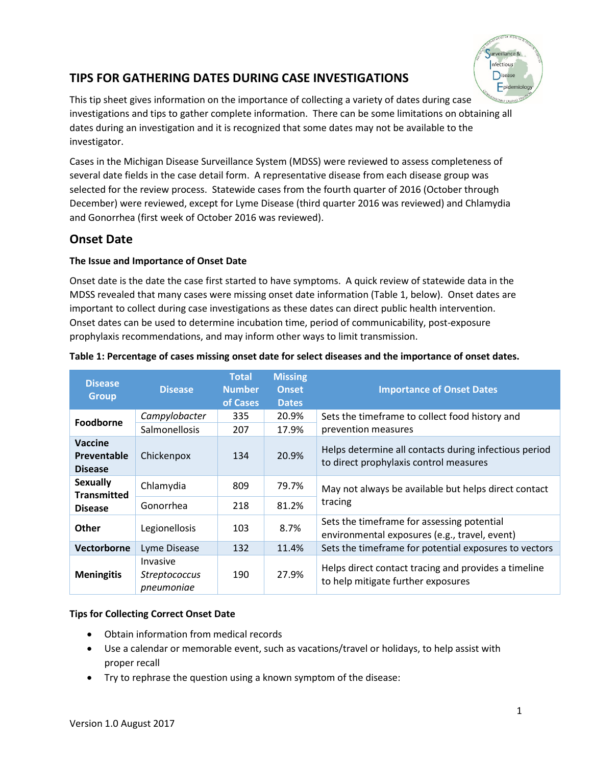

# **TIPS FOR GATHERING DATES DURING CASE INVESTIGATIONS**

This tip sheet gives information on the importance of collecting a variety of dates during case investigations and tips to gather complete information. There can be some limitations on obtaining all dates during an investigation and it is recognized that some dates may not be available to the investigator.

Cases in the Michigan Disease Surveillance System (MDSS) were reviewed to assess completeness of several date fields in the case detail form. A representative disease from each disease group was selected for the review process. Statewide cases from the fourth quarter of 2016 (October through December) were reviewed, except for Lyme Disease (third quarter 2016 was reviewed) and Chlamydia and Gonorrhea (first week of October 2016 was reviewed).

# **Onset Date**

# **The Issue and Importance of Onset Date**

Onset date is the date the case first started to have symptoms. A quick review of statewide data in the MDSS revealed that many cases were missing onset date information (Table 1, below). Onset dates are important to collect during case investigations as these dates can direct public health intervention. Onset dates can be used to determine incubation time, period of communicability, post-exposure prophylaxis recommendations, and may inform other ways to limit transmission.

| <b>Disease</b><br><b>Group</b>           | <b>Disease</b>                                 | <b>Total</b><br><b>Number</b><br>of Cases | <b>Missing</b><br><b>Onset</b><br><b>Dates</b> | <b>Importance of Onset Dates</b>                                                                |
|------------------------------------------|------------------------------------------------|-------------------------------------------|------------------------------------------------|-------------------------------------------------------------------------------------------------|
| Foodborne                                | Campylobacter                                  | 335                                       | 20.9%                                          | Sets the timeframe to collect food history and                                                  |
|                                          | Salmonellosis                                  | 207                                       | 17.9%                                          | prevention measures                                                                             |
| Vaccine<br>Preventable<br><b>Disease</b> | Chickenpox                                     | 134                                       | 20.9%                                          | Helps determine all contacts during infectious period<br>to direct prophylaxis control measures |
| <b>Sexually</b><br><b>Transmitted</b>    | Chlamydia                                      | 809                                       | 79.7%                                          | May not always be available but helps direct contact                                            |
| <b>Disease</b>                           | Gonorrhea                                      | 218                                       | 81.2%                                          | tracing                                                                                         |
| <b>Other</b>                             | Legionellosis                                  | 103                                       | 8.7%                                           | Sets the timeframe for assessing potential<br>environmental exposures (e.g., travel, event)     |
| Vectorborne                              | Lyme Disease                                   | 132                                       | 11.4%                                          | Sets the timeframe for potential exposures to vectors                                           |
| <b>Meningitis</b>                        | Invasive<br><i>Streptococcus</i><br>pneumoniae | 190                                       | 27.9%                                          | Helps direct contact tracing and provides a timeline<br>to help mitigate further exposures      |

#### **Table 1: Percentage of cases missing onset date for select diseases and the importance of onset dates.**

#### **Tips for Collecting Correct Onset Date**

- Obtain information from medical records
- Use a calendar or memorable event, such as vacations/travel or holidays, to help assist with proper recall
- Try to rephrase the question using a known symptom of the disease: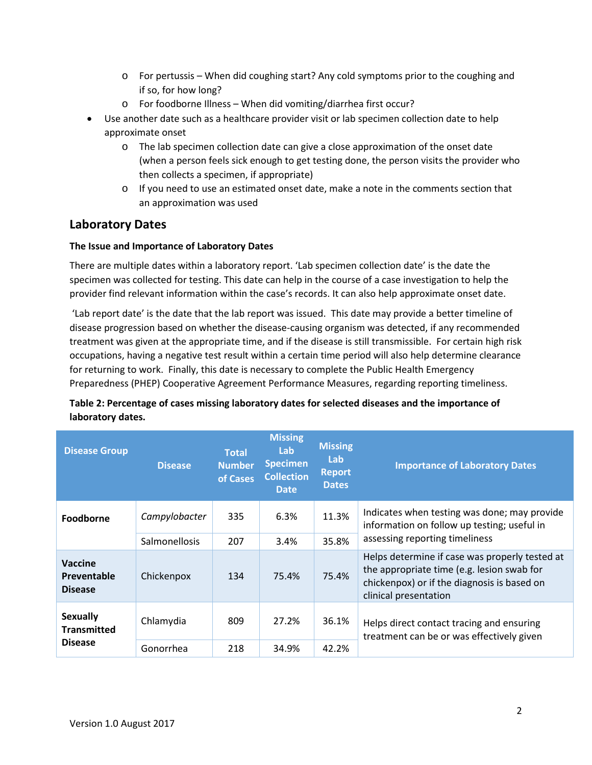- $\circ$  For pertussis When did coughing start? Any cold symptoms prior to the coughing and if so, for how long?
- o For foodborne Illness When did vomiting/diarrhea first occur?
- Use another date such as a healthcare provider visit or lab specimen collection date to help approximate onset
	- o The lab specimen collection date can give a close approximation of the onset date (when a person feels sick enough to get testing done, the person visits the provider who then collects a specimen, if appropriate)
	- $\circ$  If you need to use an estimated onset date, make a note in the comments section that an approximation was used

# **Laboratory Dates**

### **The Issue and Importance of Laboratory Dates**

There are multiple dates within a laboratory report. 'Lab specimen collection date' is the date the specimen was collected for testing. This date can help in the course of a case investigation to help the provider find relevant information within the case's records. It can also help approximate onset date.

'Lab report date' is the date that the lab report was issued. This date may provide a better timeline of disease progression based on whether the disease-causing organism was detected, if any recommended treatment was given at the appropriate time, and if the disease is still transmissible. For certain high risk occupations, having a negative test result within a certain time period will also help determine clearance for returning to work. Finally, this date is necessary to complete the Public Health Emergency Preparedness (PHEP) Cooperative Agreement Performance Measures, regarding reporting timeliness.

# **Table 2: Percentage of cases missing laboratory dates for selected diseases and the importance of laboratory dates.**

| <b>Disease Group</b>                                    | <b>Disease</b> | <b>Total</b><br><b>Number</b><br>of Cases | <b>Missing</b><br>Lab<br><b>Specimen</b><br><b>Collection</b><br><b>Date</b> | <b>Missing</b><br>Lab<br><b>Report</b><br><b>Dates</b> | <b>Importance of Laboratory Dates</b>                                                                                                                                |
|---------------------------------------------------------|----------------|-------------------------------------------|------------------------------------------------------------------------------|--------------------------------------------------------|----------------------------------------------------------------------------------------------------------------------------------------------------------------------|
| Foodborne                                               | Campylobacter  | 335                                       | 6.3%                                                                         | 11.3%                                                  | Indicates when testing was done; may provide<br>information on follow up testing; useful in                                                                          |
|                                                         | Salmonellosis  | 207                                       | 3.4%                                                                         | 35.8%                                                  | assessing reporting timeliness                                                                                                                                       |
| Vaccine<br>Preventable<br><b>Disease</b>                | Chickenpox     | 134                                       | 75.4%                                                                        | 75.4%                                                  | Helps determine if case was properly tested at<br>the appropriate time (e.g. lesion swab for<br>chickenpox) or if the diagnosis is based on<br>clinical presentation |
| <b>Sexually</b><br><b>Transmitted</b><br><b>Disease</b> | Chlamydia      | 809                                       | 27.2%                                                                        | 36.1%                                                  | Helps direct contact tracing and ensuring<br>treatment can be or was effectively given                                                                               |
|                                                         | Gonorrhea      | 218                                       | 34.9%                                                                        | 42.2%                                                  |                                                                                                                                                                      |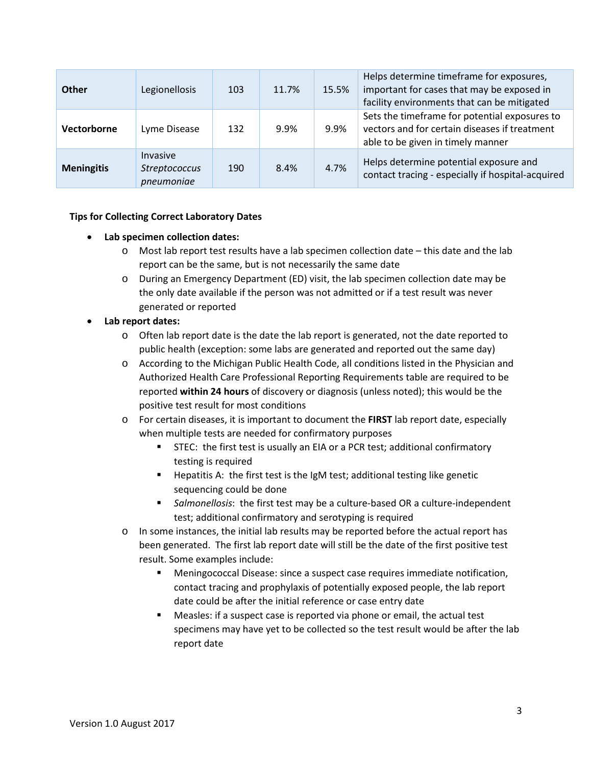| <b>Other</b>      | Legionellosis                                         | 103 | 11.7% | 15.5% | Helps determine timeframe for exposures,<br>important for cases that may be exposed in<br>facility environments that can be mitigated |
|-------------------|-------------------------------------------------------|-----|-------|-------|---------------------------------------------------------------------------------------------------------------------------------------|
| Vectorborne       | Lyme Disease                                          | 132 | 9.9%  | 9.9%  | Sets the timeframe for potential exposures to<br>vectors and for certain diseases if treatment<br>able to be given in timely manner   |
| <b>Meningitis</b> | <b>Invasive</b><br><b>Streptococcus</b><br>pneumoniae | 190 | 8.4%  | 4.7%  | Helps determine potential exposure and<br>contact tracing - especially if hospital-acquired                                           |

#### **Tips for Collecting Correct Laboratory Dates**

#### • **Lab specimen collection dates:**

- o Most lab report test results have a lab specimen collection date this date and the lab report can be the same, but is not necessarily the same date
- o During an Emergency Department (ED) visit, the lab specimen collection date may be the only date available if the person was not admitted or if a test result was never generated or reported

### • **Lab report dates:**

- o Often lab report date is the date the lab report is generated, not the date reported to public health (exception: some labs are generated and reported out the same day)
- o According to the Michigan Public Health Code, all conditions listed in the Physician and Authorized Health Care Professional Reporting Requirements table are required to be reported **within 24 hours** of discovery or diagnosis (unless noted); this would be the positive test result for most conditions
- o For certain diseases, it is important to document the **FIRST** lab report date, especially when multiple tests are needed for confirmatory purposes
	- STEC: the first test is usually an EIA or a PCR test; additional confirmatory testing is required
	- Hepatitis A: the first test is the IgM test; additional testing like genetic sequencing could be done
	- *Salmonellosis*: the first test may be a culture-based OR a culture-independent test; additional confirmatory and serotyping is required
- o In some instances, the initial lab results may be reported before the actual report has been generated. The first lab report date will still be the date of the first positive test result. Some examples include:
	- Meningococcal Disease: since a suspect case requires immediate notification, contact tracing and prophylaxis of potentially exposed people, the lab report date could be after the initial reference or case entry date
	- Measles: if a suspect case is reported via phone or email, the actual test specimens may have yet to be collected so the test result would be after the lab report date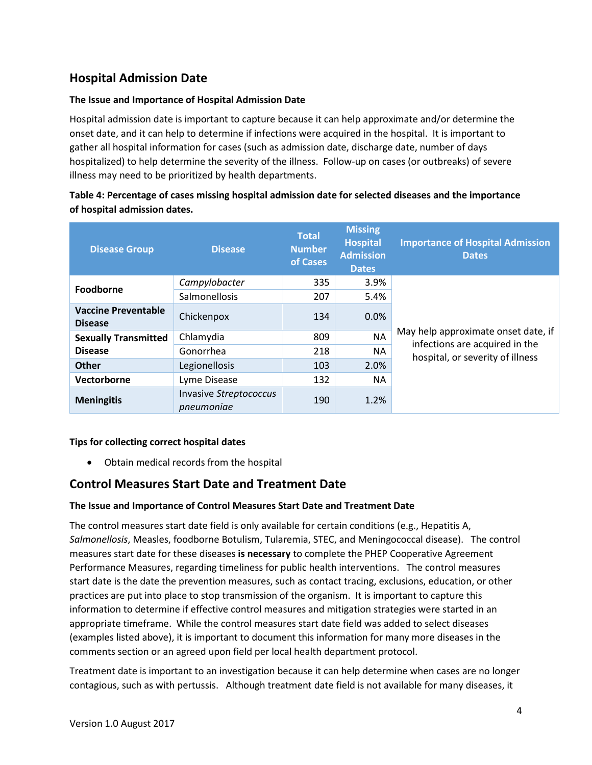# **Hospital Admission Date**

#### **The Issue and Importance of Hospital Admission Date**

Hospital admission date is important to capture because it can help approximate and/or determine the onset date, and it can help to determine if infections were acquired in the hospital. It is important to gather all hospital information for cases (such as admission date, discharge date, number of days hospitalized) to help determine the severity of the illness. Follow-up on cases (or outbreaks) of severe illness may need to be prioritized by health departments.

# **Table 4: Percentage of cases missing hospital admission date for selected diseases and the importance of hospital admission dates.**

| <b>Disease Group</b>                                       | <b>Disease</b>                       | <b>Total</b><br><b>Number</b><br>of Cases | <b>Missing</b><br><b>Hospital</b><br><b>Admission</b><br><b>Dates</b> | <b>Importance of Hospital Admission</b><br><b>Dates</b>                                                   |  |  |
|------------------------------------------------------------|--------------------------------------|-------------------------------------------|-----------------------------------------------------------------------|-----------------------------------------------------------------------------------------------------------|--|--|
| Foodborne                                                  | Campylobacter                        | 335                                       | 3.9%                                                                  |                                                                                                           |  |  |
|                                                            | Salmonellosis                        | 207                                       | 5.4%                                                                  |                                                                                                           |  |  |
| <b>Vaccine Preventable</b><br>Chickenpox<br><b>Disease</b> |                                      | 134                                       | 0.0%                                                                  |                                                                                                           |  |  |
| <b>Sexually Transmitted</b>                                | Chlamydia                            | 809                                       | <b>NA</b>                                                             | May help approximate onset date, if<br>infections are acquired in the<br>hospital, or severity of illness |  |  |
| <b>Disease</b>                                             | Gonorrhea                            | 218                                       | NA                                                                    |                                                                                                           |  |  |
| <b>Other</b>                                               | Legionellosis                        | 103                                       | 2.0%                                                                  |                                                                                                           |  |  |
| Vectorborne<br>Lyme Disease                                |                                      | 132                                       | NA.                                                                   |                                                                                                           |  |  |
| <b>Meningitis</b>                                          | Invasive Streptococcus<br>pneumoniae | 190                                       | 1.2%                                                                  |                                                                                                           |  |  |

# **Tips for collecting correct hospital dates**

• Obtain medical records from the hospital

# **Control Measures Start Date and Treatment Date**

# **The Issue and Importance of Control Measures Start Date and Treatment Date**

The control measures start date field is only available for certain conditions (e.g., Hepatitis A, *Salmonellosis*, Measles, foodborne Botulism, Tularemia, STEC, and Meningococcal disease). The control measures start date for these diseases **is necessary** to complete the PHEP Cooperative Agreement Performance Measures, regarding timeliness for public health interventions. The control measures start date is the date the prevention measures, such as contact tracing, exclusions, education, or other practices are put into place to stop transmission of the organism. It is important to capture this information to determine if effective control measures and mitigation strategies were started in an appropriate timeframe. While the control measures start date field was added to select diseases (examples listed above), it is important to document this information for many more diseases in the comments section or an agreed upon field per local health department protocol.

Treatment date is important to an investigation because it can help determine when cases are no longer contagious, such as with pertussis. Although treatment date field is not available for many diseases, it